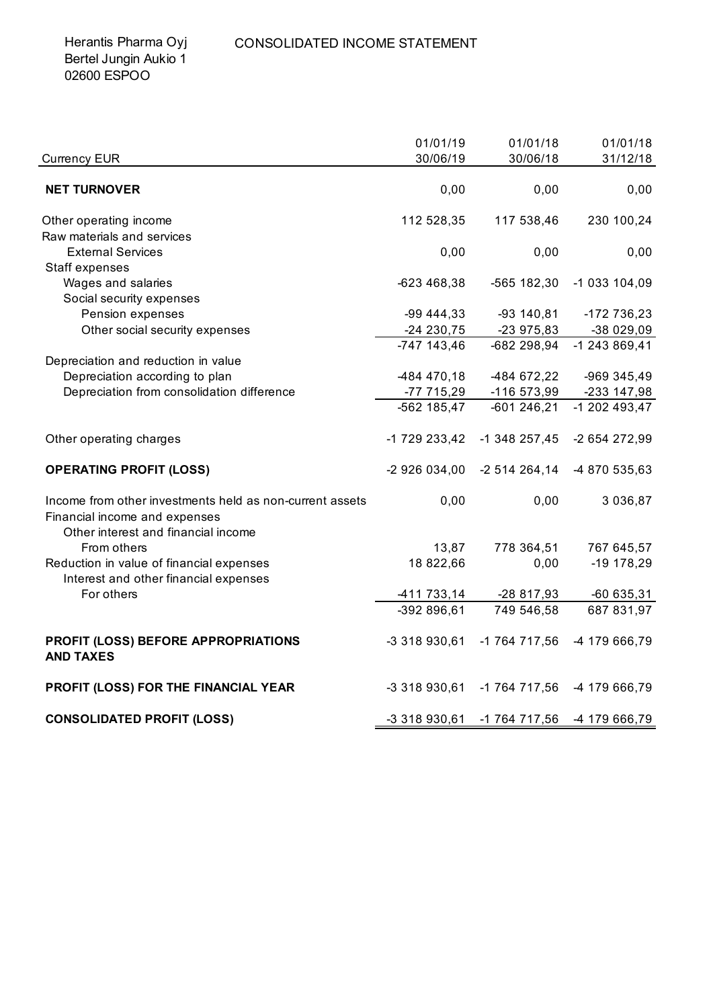| <b>Currency EUR</b>                                                                                                              | 01/01/19<br>30/06/19       | 01/01/18<br>30/06/18     | 01/01/18<br>31/12/18      |
|----------------------------------------------------------------------------------------------------------------------------------|----------------------------|--------------------------|---------------------------|
| <b>NET TURNOVER</b>                                                                                                              | 0,00                       | 0,00                     | 0,00                      |
| Other operating income                                                                                                           | 112 528,35                 | 117 538,46               | 230 100,24                |
| Raw materials and services                                                                                                       |                            |                          |                           |
| <b>External Services</b>                                                                                                         | 0,00                       | 0,00                     | 0,00                      |
| Staff expenses                                                                                                                   |                            |                          |                           |
| Wages and salaries                                                                                                               | -623 468,38                | -565 182,30              | -1 033 104,09             |
| Social security expenses                                                                                                         |                            |                          |                           |
| Pension expenses                                                                                                                 | $-99444,33$                | $-93$ 140,81             | -172 736,23               |
| Other social security expenses                                                                                                   | -24 230,75                 | -23 975,83               | -38 029,09                |
|                                                                                                                                  | $-747$ 143,46              | -682 298,94              | -1 243 869,41             |
| Depreciation and reduction in value                                                                                              |                            |                          |                           |
| Depreciation according to plan                                                                                                   | -484 470,18                | -484 672,22              | -969 345,49               |
| Depreciation from consolidation difference                                                                                       | -77 715,29                 | -116 573,99              | -233 147,98               |
|                                                                                                                                  | -562 185,47                | $-601246,21$             | $-1202493,47$             |
| Other operating charges                                                                                                          | -1 729 233,42              | $-1$ 348 257,45          | -2 654 272,99             |
| <b>OPERATING PROFIT (LOSS)</b>                                                                                                   | -2 926 034,00              | -2 514 264,14            | -4 870 535,63             |
| Income from other investments held as non-current assets<br>Financial income and expenses<br>Other interest and financial income | 0,00                       | 0,00                     | 3 0 3 6 , 8 7             |
| From others                                                                                                                      | 13,87                      | 778 364,51               | 767 645,57                |
| Reduction in value of financial expenses<br>Interest and other financial expenses                                                | 18 822,66                  | 0,00                     | $-19$ 178,29              |
| For others                                                                                                                       |                            |                          |                           |
|                                                                                                                                  | -411 733,14<br>-392 896,61 | -28 817,93<br>749 546,58 | $-60635,31$<br>687 831,97 |
|                                                                                                                                  |                            |                          |                           |
| PROFIT (LOSS) BEFORE APPROPRIATIONS<br><b>AND TAXES</b>                                                                          | -3 318 930,61              | -1 764 717,56            | -4 179 666,79             |
| PROFIT (LOSS) FOR THE FINANCIAL YEAR                                                                                             | -3 318 930,61              | -1 764 717,56            | -4 179 666,79             |
| <b>CONSOLIDATED PROFIT (LOSS)</b>                                                                                                | -3 318 930,61              | -1 764 717,56            | -4 179 666,79             |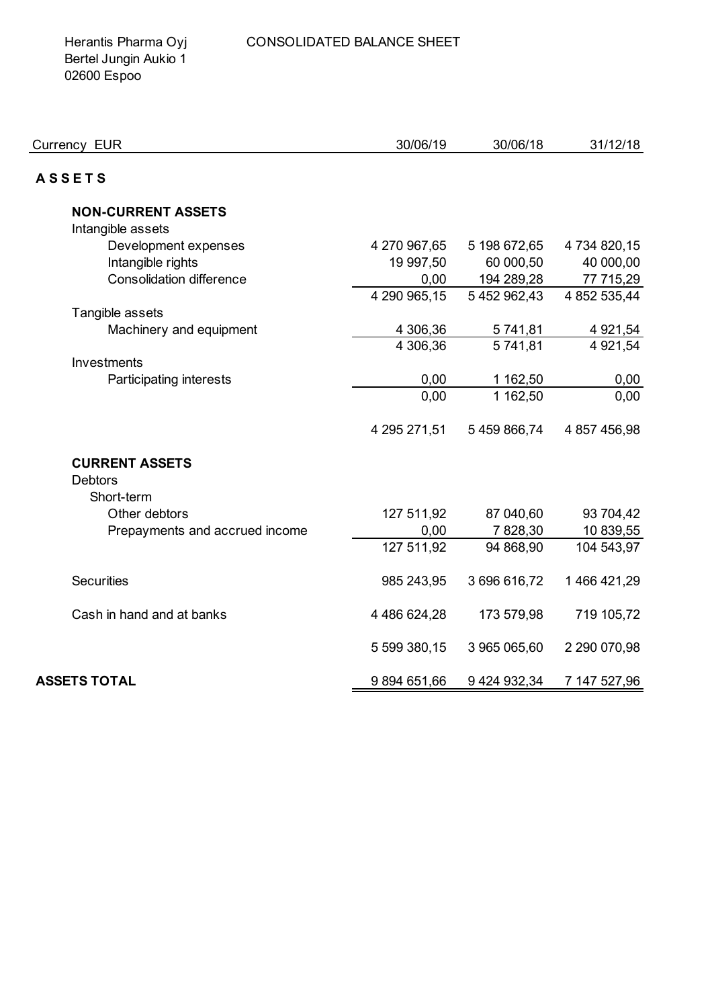Herantis Pharma Oyj Bertel Jungin Aukio 1 02600 Espoo

| 30/06/19     | 30/06/18                                                                                                                | 31/12/18                                                                                                            |
|--------------|-------------------------------------------------------------------------------------------------------------------------|---------------------------------------------------------------------------------------------------------------------|
|              |                                                                                                                         |                                                                                                                     |
|              |                                                                                                                         |                                                                                                                     |
|              |                                                                                                                         |                                                                                                                     |
|              |                                                                                                                         |                                                                                                                     |
|              |                                                                                                                         | 4 734 820,15                                                                                                        |
|              |                                                                                                                         | 40 000,00                                                                                                           |
|              |                                                                                                                         | 77 715,29                                                                                                           |
|              |                                                                                                                         | 4 852 535,44                                                                                                        |
|              |                                                                                                                         |                                                                                                                     |
|              |                                                                                                                         | 4 9 21, 54                                                                                                          |
|              |                                                                                                                         | 4 9 21, 54                                                                                                          |
|              |                                                                                                                         |                                                                                                                     |
|              |                                                                                                                         | 0,00                                                                                                                |
|              |                                                                                                                         | 0,00                                                                                                                |
| 4 295 271,51 | 5 459 866,74                                                                                                            | 4 857 456,98                                                                                                        |
|              |                                                                                                                         |                                                                                                                     |
|              |                                                                                                                         |                                                                                                                     |
|              |                                                                                                                         |                                                                                                                     |
|              | 87 040,60                                                                                                               | 93 704,42                                                                                                           |
| 0,00         | 7828,30                                                                                                                 | 10 839,55                                                                                                           |
| 127 511,92   | 94 868,90                                                                                                               | 104 543,97                                                                                                          |
| 985 243,95   | 3696616,72                                                                                                              | 1466421,29                                                                                                          |
|              |                                                                                                                         |                                                                                                                     |
|              |                                                                                                                         | 719 105,72                                                                                                          |
| 5 599 380,15 | 3 965 065,60                                                                                                            | 2 290 070,98                                                                                                        |
| 9894651,66   | 9 424 932,34                                                                                                            | 7 147 527,96                                                                                                        |
|              | 4 270 967,65<br>19 997,50<br>0,00<br>4 290 965,15<br>4 306,36<br>4 306,36<br>0,00<br>0,00<br>127 511,92<br>4 486 624,28 | 5 198 672,65<br>60 000,50<br>194 289,28<br>5 452 962,43<br>5741,81<br>5741,81<br>1 162,50<br>1 162,50<br>173 579,98 |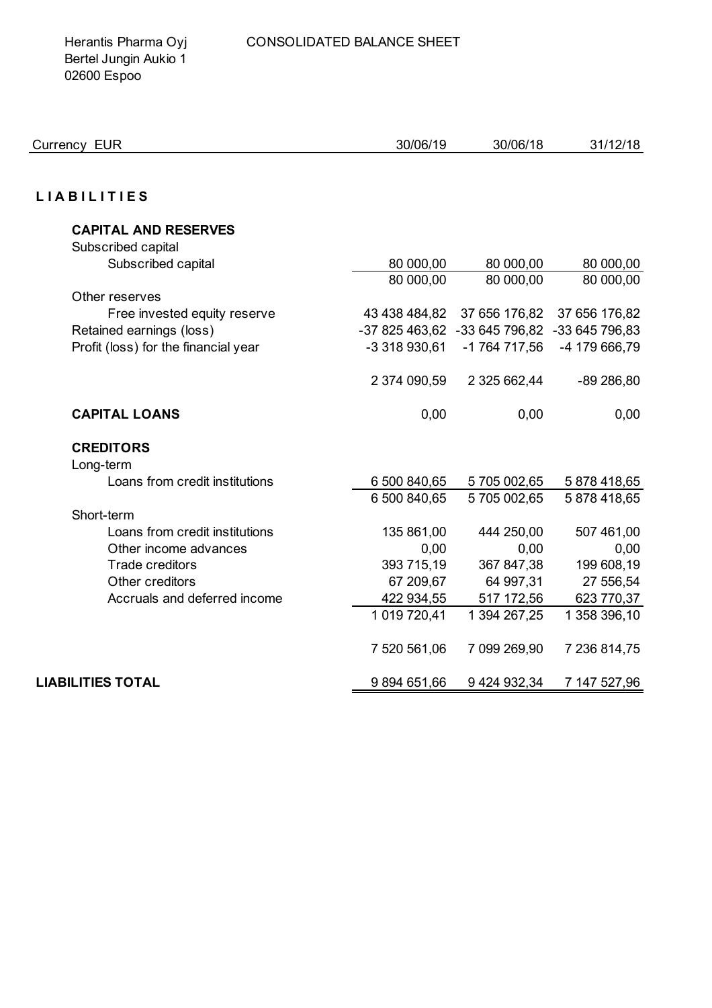Herantis Pharma Oyj Bertel Jungin Aukio 1 02600 Espoo

| Currency EUR                         | 30/06/19       | 30/06/18                      | 31/12/18      |
|--------------------------------------|----------------|-------------------------------|---------------|
|                                      |                |                               |               |
| <b>LIABILITIES</b>                   |                |                               |               |
| <b>CAPITAL AND RESERVES</b>          |                |                               |               |
| Subscribed capital                   |                |                               |               |
| Subscribed capital                   | 80 000,00      | 80 000,00                     | 80 000,00     |
|                                      | 80 000,00      | 80 000,00                     | 80 000,00     |
| Other reserves                       |                |                               |               |
| Free invested equity reserve         | 43 438 484,82  | 37 656 176,82                 | 37 656 176,82 |
| Retained earnings (loss)             | -37 825 463,62 | -33 645 796,82 -33 645 796,83 |               |
| Profit (loss) for the financial year | -3 318 930,61  | -1 764 717,56                 | -4 179 666,79 |
|                                      | 2 374 090,59   | 2 325 662,44                  | $-89286,80$   |
| <b>CAPITAL LOANS</b>                 | 0,00           | 0,00                          | 0,00          |
| <b>CREDITORS</b>                     |                |                               |               |
| Long-term                            |                |                               |               |
| Loans from credit institutions       | 6 500 840,65   | 5705 002,65                   | 5878418,65    |
|                                      | 6 500 840,65   | 5705002,65                    | 5878418,65    |
| Short-term                           |                |                               |               |
| Loans from credit institutions       | 135 861,00     | 444 250,00                    | 507 461,00    |
| Other income advances                | 0,00           | 0,00                          | 0,00          |
| <b>Trade creditors</b>               | 393 715,19     | 367 847,38                    | 199 608,19    |
| Other creditors                      | 67 209,67      | 64 997,31                     | 27 556,54     |
| Accruals and deferred income         | 422 934,55     | 517 172,56                    | 623 770,37    |
|                                      | 1 019 720,41   | 1 394 267,25                  | 1 358 396,10  |
|                                      | 7 520 561,06   | 7 099 269,90                  | 7 236 814,75  |
| <b>LIABILITIES TOTAL</b>             | 9 894 651,66   | 9 424 932,34                  | 7 147 527,96  |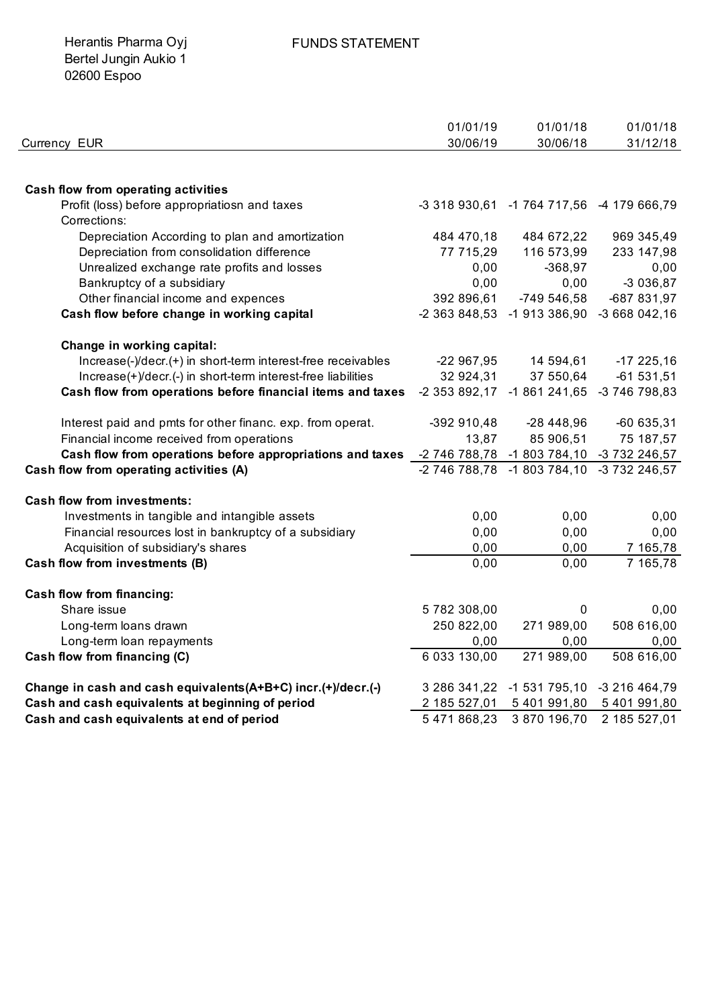Herantis Pharma Oyj Bertel Jungin Aukio 1 02600 Espoo

|                                                                 | 01/01/19                                  | 01/01/18                                  | 01/01/18                    |
|-----------------------------------------------------------------|-------------------------------------------|-------------------------------------------|-----------------------------|
| Currency EUR                                                    | 30/06/19                                  | 30/06/18                                  | 31/12/18                    |
|                                                                 |                                           |                                           |                             |
| <b>Cash flow from operating activities</b>                      |                                           |                                           |                             |
| Profit (loss) before appropriatiosn and taxes                   |                                           | -3 318 930,61 -1 764 717,56 -4 179 666,79 |                             |
| Corrections:                                                    |                                           |                                           |                             |
| Depreciation According to plan and amortization                 | 484 470,18                                | 484 672,22                                | 969 345,49                  |
| Depreciation from consolidation difference                      | 77 715,29                                 | 116 573,99                                | 233 147,98                  |
| Unrealized exchange rate profits and losses                     | 0,00                                      | $-368,97$                                 | 0,00                        |
| Bankruptcy of a subsidiary                                      | 0,00                                      | 0,00                                      | $-3036,87$                  |
| Other financial income and expences                             | 392 896,61                                | -749 546,58                               | -687 831,97                 |
| Cash flow before change in working capital                      | -2 363 848,53                             |                                           | -1 913 386,90 -3 668 042,16 |
| Change in working capital:                                      |                                           |                                           |                             |
| Increase(-)/decr.(+) in short-term interest-free receivables    | $-22967,95$                               | 14 594,61                                 | $-17225,16$                 |
| Increase(+)/decr.(-) in short-term interest-free liabilities    | 32 924,31                                 | 37 550,64                                 | $-61531,51$                 |
| Cash flow from operations before financial items and taxes      |                                           | -2 353 892,17 -1 861 241,65 -3 746 798,83 |                             |
| Interest paid and pmts for other financ. exp. from operat.      | -392 910,48                               | $-28448,96$                               | $-60635,31$                 |
| Financial income received from operations                       | 13,87                                     | 85 906,51                                 | 75 187,57                   |
| Cash flow from operations before appropriations and taxes       | -2 746 788,78 -1 803 784,10 -3 732 246,57 |                                           |                             |
| Cash flow from operating activities (A)                         |                                           | -2 746 788,78 -1 803 784,10 -3 732 246,57 |                             |
| <b>Cash flow from investments:</b>                              |                                           |                                           |                             |
| Investments in tangible and intangible assets                   | 0,00                                      | 0,00                                      | 0,00                        |
| Financial resources lost in bankruptcy of a subsidiary          | 0,00                                      | 0,00                                      | 0,00                        |
| Acquisition of subsidiary's shares                              | 0,00                                      | 0,00                                      | 7 165,78                    |
| Cash flow from investments (B)                                  | 0,00                                      | 0,00                                      | 7 165,78                    |
| <b>Cash flow from financing:</b>                                |                                           |                                           |                             |
| Share issue                                                     | 5782308,00                                | 0                                         | 0,00                        |
| Long-term loans drawn                                           | 250 822,00                                | 271 989,00                                | 508 616,00                  |
| Long-term loan repayments                                       | 0,00                                      | 0,00                                      | 0,00                        |
| Cash flow from financing (C)                                    | 6 033 130,00                              | 271 989,00                                | 508 616,00                  |
| Change in cash and cash equivalents (A+B+C) incr. (+)/decr. (-) | 3 286 341,22                              | -1 531 795,10 -3 216 464,79               |                             |
| Cash and cash equivalents at beginning of period                | 2 185 527,01                              | 5 401 991,80                              | 5 401 991,80                |
| Cash and cash equivalents at end of period                      | 5 471 868,23                              | 3 870 196,70                              | 2 185 527,01                |